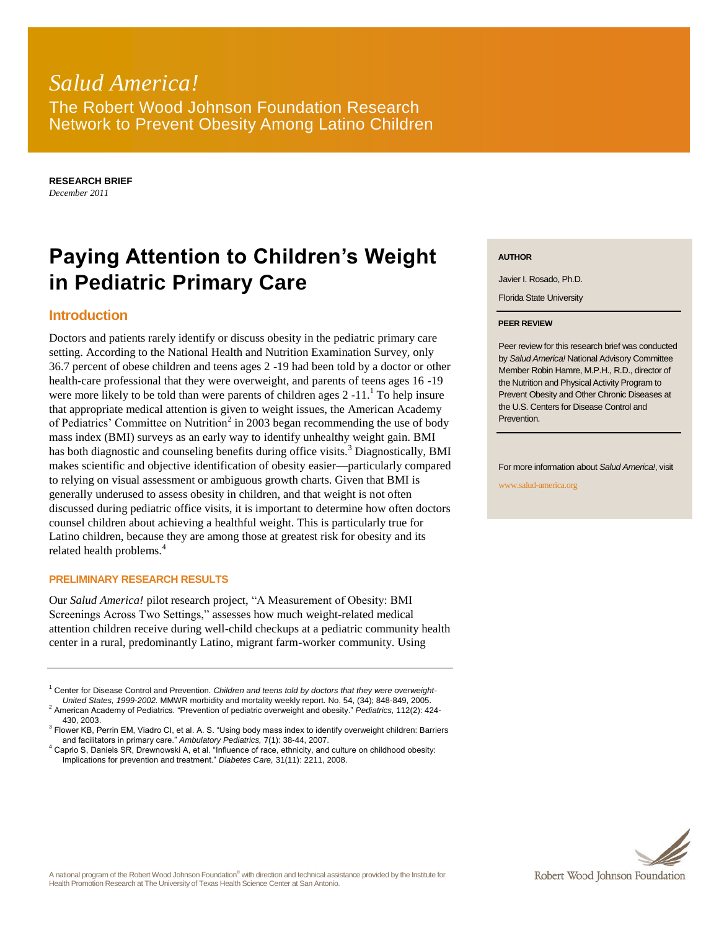# *Salud America!* The Robert Wood Johnson Foundation Research Network to Prevent Obesity Among Latino Children

**RESEARCH BRIEF** *December 2011*

# **Paying Attention to Children's Weight in Pediatric Primary Care**

### **Introduction**

Doctors and patients rarely identify or discuss obesity in the pediatric primary care setting. According to the National Health and Nutrition Examination Survey, only 36.7 percent of obese children and teens ages 2 -19 had been told by a doctor or other health-care professional that they were overweight, and parents of teens ages 16 -19 were more likely to be told than were parents of children ages  $2 -11$ .<sup>1</sup> To help insure that appropriate medical attention is given to weight issues, the American Academy of Pediatrics' Committee on Nutrition<sup>2</sup> in 2003 began recommending the use of body mass index (BMI) surveys as an early way to identify unhealthy weight gain. BMI has both diagnostic and counseling benefits during office visits.<sup>3</sup> Diagnostically, BMI makes scientific and objective identification of obesity easier—particularly compared to relying on visual assessment or ambiguous growth charts. Given that BMI is generally underused to assess obesity in children, and that weight is not often discussed during pediatric office visits, it is important to determine how often doctors counsel children about achieving a healthful weight. This is particularly true for Latino children, because they are among those at greatest risk for obesity and its related health problems.<sup>4</sup>

#### **PRELIMINARY RESEARCH RESULTS**

Our *Salud America!* pilot research project, "A Measurement of Obesity: BMI Screenings Across Two Settings," assesses how much weight-related medical attention children receive during well-child checkups at a pediatric community health center in a rural, predominantly Latino, migrant farm-worker community. Using

<sup>1</sup> Center for Disease Control and Prevention. *Children and teens told by doctors that they were overweight-United States, 1999-2002.* MMWR morbidity and mortality weekly report*.* No. 54, (34); 848-849, 2005.

2 American Academy of Pediatrics. "Prevention of pediatric overweight and obesity." *Pediatrics,* 112(2): 424- 430, 2003.

#### **AUTHOR**

Javier I. Rosado, Ph.D.

Florida State University

#### **PEER REVIEW**

Peer review for this research brief was conducted by *Salud America!* National Advisory Committee Member Robin Hamre, M.P.H., R.D., director of the Nutrition and Physical Activity Program to Prevent Obesity and Other Chronic Diseases at the U.S. Centers for Disease Control and **Prevention** 

For more information about *Salud America!*, visit

www.salud-america.org



<sup>&</sup>lt;sup>3</sup> Flower KB, Perrin EM, Viadro CI, et al. A. S. "Using body mass index to identify overweight children: Barriers and facilitators in primary care." *Ambulatory Pediatrics,* 7(1): 38-44, 2007.

<sup>4</sup> Caprio S, Daniels SR, Drewnowski A, et al. "Influence of race, ethnicity, and culture on childhood obesity: Implications for prevention and treatment." *Diabetes Care,* 31(11): 2211, 2008.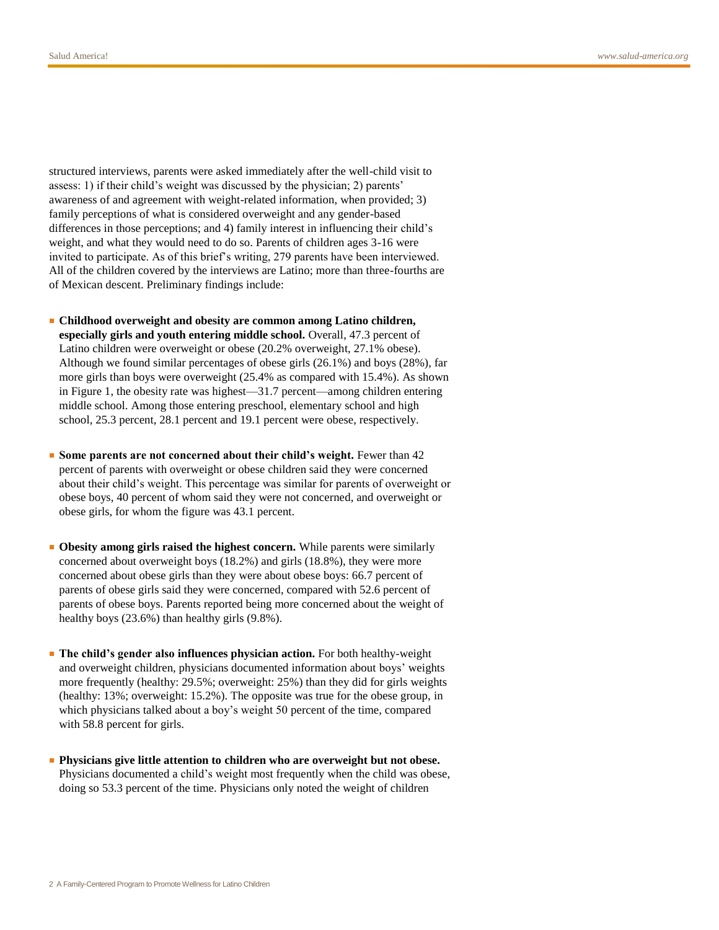structured interviews, parents were asked immediately after the well-child visit to assess: 1) if their child's weight was discussed by the physician; 2) parents' awareness of and agreement with weight-related information, when provided; 3) family perceptions of what is considered overweight and any gender-based differences in those perceptions; and 4) family interest in influencing their child's weight, and what they would need to do so. Parents of children ages 3-16 were invited to participate. As of this brief's writing, 279 parents have been interviewed. All of the children covered by the interviews are Latino; more than three-fourths are of Mexican descent. Preliminary findings include:

- **Childhood overweight and obesity are common among Latino children, especially girls and youth entering middle school.** Overall, 47.3 percent of Latino children were overweight or obese (20.2% overweight, 27.1% obese). Although we found similar percentages of obese girls (26.1%) and boys (28%), far more girls than boys were overweight (25.4% as compared with 15.4%). As shown in Figure 1, the obesity rate was highest—31.7 percent—among children entering middle school. Among those entering preschool, elementary school and high school, 25.3 percent, 28.1 percent and 19.1 percent were obese, respectively.
- **Some parents are not concerned about their child's weight.** Fewer than 42 percent of parents with overweight or obese children said they were concerned about their child's weight. This percentage was similar for parents of overweight or obese boys, 40 percent of whom said they were not concerned, and overweight or obese girls, for whom the figure was 43.1 percent.
- Obesity among girls raised the highest concern. While parents were similarly concerned about overweight boys (18.2%) and girls (18.8%), they were more concerned about obese girls than they were about obese boys: 66.7 percent of parents of obese girls said they were concerned, compared with 52.6 percent of parents of obese boys. Parents reported being more concerned about the weight of healthy boys (23.6%) than healthy girls (9.8%).
- **The child's gender also influences physician action.** For both healthy-weight and overweight children, physicians documented information about boys' weights more frequently (healthy: 29.5%; overweight: 25%) than they did for girls weights (healthy: 13%; overweight: 15.2%). The opposite was true for the obese group, in which physicians talked about a boy's weight 50 percent of the time, compared with 58.8 percent for girls.
- **Physicians give little attention to children who are overweight but not obese.**  Physicians documented a child's weight most frequently when the child was obese, doing so 53.3 percent of the time. Physicians only noted the weight of children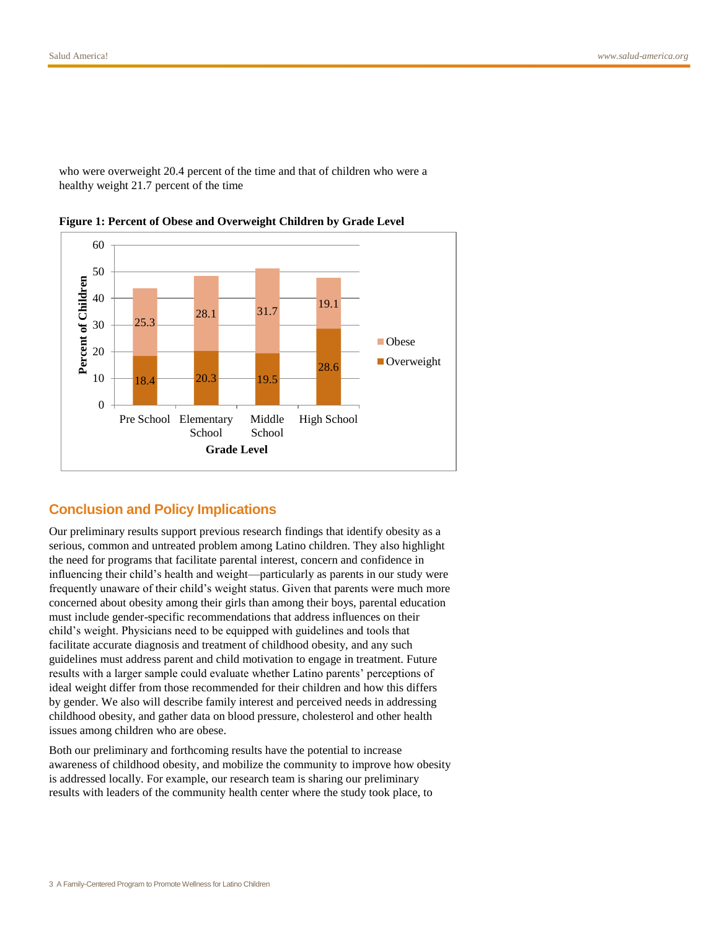who were overweight 20.4 percent of the time and that of children who were a healthy weight 21.7 percent of the time



**Figure 1: Percent of Obese and Overweight Children by Grade Level**

## **Conclusion and Policy Implications**

Our preliminary results support previous research findings that identify obesity as a serious, common and untreated problem among Latino children. They also highlight the need for programs that facilitate parental interest, concern and confidence in influencing their child's health and weight—particularly as parents in our study were frequently unaware of their child's weight status. Given that parents were much more concerned about obesity among their girls than among their boys, parental education must include gender-specific recommendations that address influences on their child's weight. Physicians need to be equipped with guidelines and tools that facilitate accurate diagnosis and treatment of childhood obesity, and any such guidelines must address parent and child motivation to engage in treatment. Future results with a larger sample could evaluate whether Latino parents' perceptions of ideal weight differ from those recommended for their children and how this differs by gender. We also will describe family interest and perceived needs in addressing childhood obesity, and gather data on blood pressure, cholesterol and other health issues among children who are obese.

Both our preliminary and forthcoming results have the potential to increase awareness of childhood obesity, and mobilize the community to improve how obesity is addressed locally. For example, our research team is sharing our preliminary results with leaders of the community health center where the study took place, to